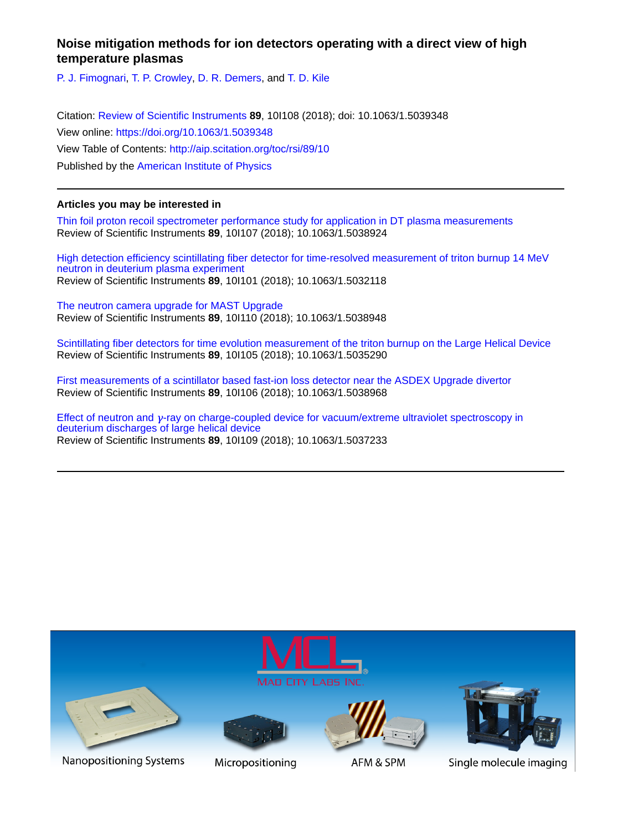# **Noise mitigation methods for ion detectors operating with a direct view of high temperature plasmas**

[P. J. Fimognari](http://aip.scitation.org/author/Fimognari%2C+P+J), [T. P. Crowley](http://aip.scitation.org/author/Crowley%2C+T+P), [D. R. Demers](http://aip.scitation.org/author/Demers%2C+D+R), and [T. D. Kile](http://aip.scitation.org/author/Kile%2C+T+D)

Citation: [Review of Scientific Instruments](/loi/rsi) **89**, 10I108 (2018); doi: 10.1063/1.5039348 View online: <https://doi.org/10.1063/1.5039348> View Table of Contents: <http://aip.scitation.org/toc/rsi/89/10> Published by the [American Institute of Physics](http://aip.scitation.org/publisher/)

# **Articles you may be interested in**

[Thin foil proton recoil spectrometer performance study for application in DT plasma measurements](http://aip.scitation.org/doi/abs/10.1063/1.5038924) Review of Scientific Instruments **89**, 10I107 (2018); 10.1063/1.5038924

[High detection efficiency scintillating fiber detector for time-resolved measurement of triton burnup 14 MeV](http://aip.scitation.org/doi/abs/10.1063/1.5032118) [neutron in deuterium plasma experiment](http://aip.scitation.org/doi/abs/10.1063/1.5032118) Review of Scientific Instruments **89**, 10I101 (2018); 10.1063/1.5032118

[The neutron camera upgrade for MAST Upgrade](http://aip.scitation.org/doi/abs/10.1063/1.5038948) Review of Scientific Instruments **89**, 10I110 (2018); 10.1063/1.5038948

[Scintillating fiber detectors for time evolution measurement of the triton burnup on the Large Helical Device](http://aip.scitation.org/doi/abs/10.1063/1.5035290) Review of Scientific Instruments **89**, 10I105 (2018); 10.1063/1.5035290

[First measurements of a scintillator based fast-ion loss detector near the ASDEX Upgrade divertor](http://aip.scitation.org/doi/abs/10.1063/1.5038968) Review of Scientific Instruments **89**, 10I106 (2018); 10.1063/1.5038968

Effect of neutron and  $\nu$ -ray on charge-coupled device for vacuum/extreme ultraviolet spectroscopy in [deuterium discharges of large helical device](http://aip.scitation.org/doi/abs/10.1063/1.5037233) Review of Scientific Instruments **89**, 10I109 (2018); 10.1063/1.5037233

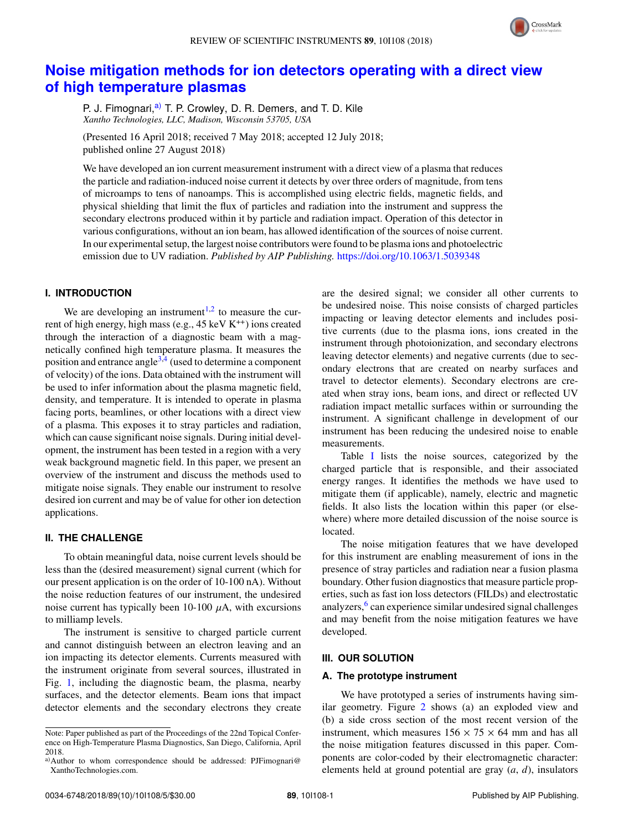

# **[Noise mitigation methods for ion detectors operating with a direct view](https://doi.org/10.1063/1.5039348) [of high temperature plasmas](https://doi.org/10.1063/1.5039348)**

P. J. Fimognari,<sup>[a\)](#page-1-0)</sup> T. P. Crowley, D. R. Demers, and T. D. Kile *Xantho Technologies, LLC, Madison, Wisconsin 53705, USA*

(Presented 16 April 2018; received 7 May 2018; accepted 12 July 2018; published online 27 August 2018)

We have developed an ion current measurement instrument with a direct view of a plasma that reduces the particle and radiation-induced noise current it detects by over three orders of magnitude, from tens of microamps to tens of nanoamps. This is accomplished using electric fields, magnetic fields, and physical shielding that limit the flux of particles and radiation into the instrument and suppress the secondary electrons produced within it by particle and radiation impact. Operation of this detector in various configurations, without an ion beam, has allowed identification of the sources of noise current. In our experimental setup, the largest noise contributors were found to be plasma ions and photoelectric emission due to UV radiation. *Published by AIP Publishing.* <https://doi.org/10.1063/1.5039348>

# **I. INTRODUCTION**

We are developing an instrument<sup>[1](#page-5-0)[,2](#page-5-1)</sup> to measure the current of high energy, high mass (e.g.,  $45 \text{ keV K}^{++}$ ) ions created through the interaction of a diagnostic beam with a magnetically confined high temperature plasma. It measures the position and entrance angle<sup>[3](#page-5-2)[,4](#page-5-3)</sup> (used to determine a component of velocity) of the ions. Data obtained with the instrument will be used to infer information about the plasma magnetic field, density, and temperature. It is intended to operate in plasma facing ports, beamlines, or other locations with a direct view of a plasma. This exposes it to stray particles and radiation, which can cause significant noise signals. During initial development, the instrument has been tested in a region with a very weak background magnetic field. In this paper, we present an overview of the instrument and discuss the methods used to mitigate noise signals. They enable our instrument to resolve desired ion current and may be of value for other ion detection applications.

# **II. THE CHALLENGE**

To obtain meaningful data, noise current levels should be less than the (desired measurement) signal current (which for our present application is on the order of 10-100 nA). Without the noise reduction features of our instrument, the undesired noise current has typically been 10-100  $\mu$ A, with excursions to milliamp levels.

The instrument is sensitive to charged particle current and cannot distinguish between an electron leaving and an ion impacting its detector elements. Currents measured with the instrument originate from several sources, illustrated in Fig. [1,](#page-2-0) including the diagnostic beam, the plasma, nearby surfaces, and the detector elements. Beam ions that impact detector elements and the secondary electrons they create are the desired signal; we consider all other currents to be undesired noise. This noise consists of charged particles impacting or leaving detector elements and includes positive currents (due to the plasma ions, ions created in the instrument through photoionization, and secondary electrons leaving detector elements) and negative currents (due to secondary electrons that are created on nearby surfaces and travel to detector elements). Secondary electrons are created when stray ions, beam ions, and direct or reflected UV radiation impact metallic surfaces within or surrounding the instrument. A significant challenge in development of our instrument has been reducing the undesired noise to enable measurements.

Table [I](#page-2-1) lists the noise sources, categorized by the charged particle that is responsible, and their associated energy ranges. It identifies the methods we have used to mitigate them (if applicable), namely, electric and magnetic fields. It also lists the location within this paper (or elsewhere) where more detailed discussion of the noise source is located.

The noise mitigation features that we have developed for this instrument are enabling measurement of ions in the presence of stray particles and radiation near a fusion plasma boundary. Other fusion diagnostics that measure particle properties, such as fast ion loss detectors (FILDs) and electrostatic analyzers, <sup>[6](#page-5-4)</sup> can experience similar undesired signal challenges and may benefit from the noise mitigation features we have developed.

# **III. OUR SOLUTION**

# **A. The prototype instrument**

We have prototyped a series of instruments having similar geometry. Figure [2](#page-2-2) shows (a) an exploded view and (b) a side cross section of the most recent version of the instrument, which measures  $156 \times 75 \times 64$  mm and has all the noise mitigation features discussed in this paper. Components are color-coded by their electromagnetic character: elements held at ground potential are gray (*a*, *d*), insulators

Note: Paper published as part of the Proceedings of the 22nd Topical Conference on High-Temperature Plasma Diagnostics, San Diego, California, April 2018.

<span id="page-1-0"></span>a)Author to whom correspondence should be addressed: [PJFimognari@](mailto:PJFimognari@XanthoTechnologies.com) [XanthoTechnologies.com.](mailto:PJFimognari@XanthoTechnologies.com)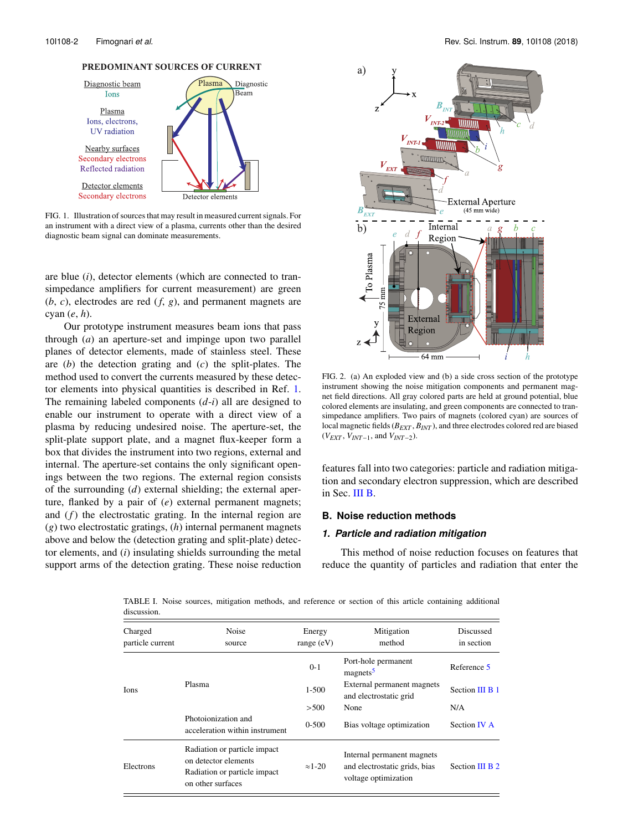# PREDOMINANT SOURCES OF CURRENT

<span id="page-2-0"></span>

FIG. 1. Illustration of sources that may result in measured current signals. For an instrument with a direct view of a plasma, currents other than the desired diagnostic beam signal can dominate measurements.

are blue (*i*), detector elements (which are connected to transimpedance amplifiers for current measurement) are green (*b*, *c*), electrodes are red (*f*, *g*), and permanent magnets are cyan (*e*, *h*).

Our prototype instrument measures beam ions that pass through (*a*) an aperture-set and impinge upon two parallel planes of detector elements, made of stainless steel. These are (*b*) the detection grating and (*c*) the split-plates. The method used to convert the currents measured by these detector elements into physical quantities is described in Ref. [1.](#page-5-0) The remaining labeled components (*d*-*i*) all are designed to enable our instrument to operate with a direct view of a plasma by reducing undesired noise. The aperture-set, the split-plate support plate, and a magnet flux-keeper form a box that divides the instrument into two regions, external and internal. The aperture-set contains the only significant openings between the two regions. The external region consists of the surrounding (*d*) external shielding; the external aperture, flanked by a pair of (*e*) external permanent magnets; and  $(f)$  the electrostatic grating. In the internal region are (*g*) two electrostatic gratings, (*h*) internal permanent magnets above and below the (detection grating and split-plate) detector elements, and (*i*) insulating shields surrounding the metal support arms of the detection grating. These noise reduction

<span id="page-2-2"></span>

FIG. 2. (a) An exploded view and (b) a side cross section of the prototype instrument showing the noise mitigation components and permanent magnet field directions. All gray colored parts are held at ground potential, blue colored elements are insulating, and green components are connected to transimpedance amplifiers. Two pairs of magnets (colored cyan) are sources of local magnetic fields (*BEXT* , *BINT* ), and three electrodes colored red are biased (*VEXT* , *VINT*−1, and *VINT*−2).

features fall into two categories: particle and radiation mitigation and secondary electron suppression, which are described in Sec. [III B.](#page-2-3)

# <span id="page-2-3"></span>**B. Noise reduction methods**

## <span id="page-2-4"></span>*1. Particle and radiation mitigation*

This method of noise reduction focuses on features that reduce the quantity of particles and radiation that enter the

| Charged                                                                                                                | Noise                                                 | Energy         | Mitigation                                                                          | Discussed           |  |
|------------------------------------------------------------------------------------------------------------------------|-------------------------------------------------------|----------------|-------------------------------------------------------------------------------------|---------------------|--|
| particle current                                                                                                       | source                                                | range $(eV)$   | method                                                                              | in section          |  |
|                                                                                                                        |                                                       | $0 - 1$        | Port-hole permanent<br>magnets <sup>5</sup>                                         | Reference 5         |  |
| <b>Ions</b>                                                                                                            | Plasma                                                | $1 - 500$      | External permanent magnets<br>and electrostatic grid                                | Section III B 1     |  |
|                                                                                                                        |                                                       | >500           | None                                                                                | N/A                 |  |
|                                                                                                                        | Photoionization and<br>acceleration within instrument | $0 - 500$      | Bias voltage optimization                                                           | Section <b>IV</b> A |  |
| Radiation or particle impact<br>on detector elements<br>Electrons<br>Radiation or particle impact<br>on other surfaces |                                                       | $\approx$ 1-20 | Internal permanent magnets<br>and electrostatic grids, bias<br>voltage optimization | Section III B 2     |  |

<span id="page-2-1"></span>TABLE I. Noise sources, mitigation methods, and reference or section of this article containing additional discussion.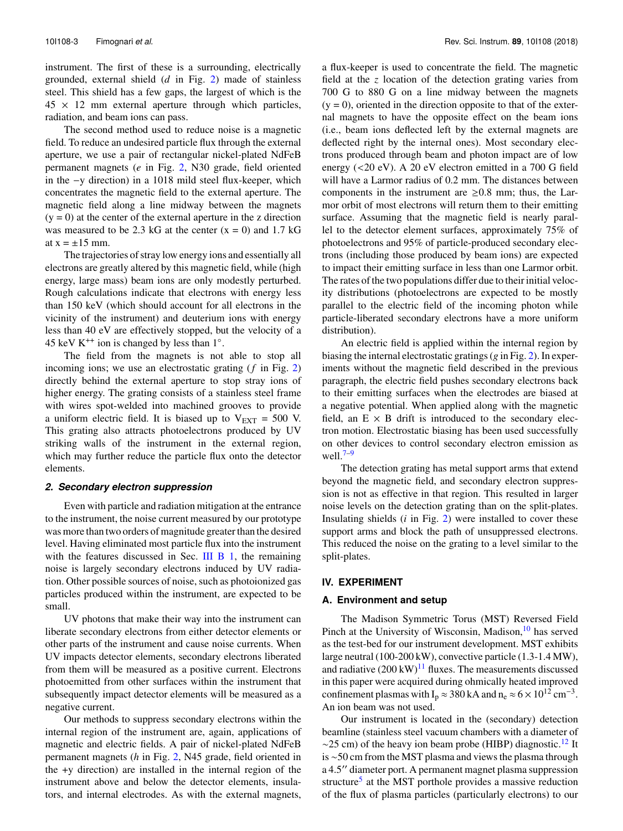instrument. The first of these is a surrounding, electrically grounded, external shield (*d* in Fig. [2\)](#page-2-2) made of stainless steel. This shield has a few gaps, the largest of which is the  $45 \times 12$  mm external aperture through which particles, radiation, and beam ions can pass.

The second method used to reduce noise is a magnetic field. To reduce an undesired particle flux through the external aperture, we use a pair of rectangular nickel-plated NdFeB permanent magnets (*e* in Fig. [2,](#page-2-2) N30 grade, field oriented in the −y direction) in a 1018 mild steel flux-keeper, which concentrates the magnetic field to the external aperture. The magnetic field along a line midway between the magnets  $(y = 0)$  at the center of the external aperture in the z direction was measured to be 2.3 kG at the center  $(x = 0)$  and 1.7 kG at  $x = \pm 15$  mm.

The trajectories of stray low energy ions and essentially all electrons are greatly altered by this magnetic field, while (high energy, large mass) beam ions are only modestly perturbed. Rough calculations indicate that electrons with energy less than 150 keV (which should account for all electrons in the vicinity of the instrument) and deuterium ions with energy less than 40 eV are effectively stopped, but the velocity of a 45 keV K<sup>++</sup> ion is changed by less than  $1^\circ$ .

The field from the magnets is not able to stop all incoming ions; we use an electrostatic grating (*f* in Fig. [2\)](#page-2-2) directly behind the external aperture to stop stray ions of higher energy. The grating consists of a stainless steel frame with wires spot-welded into machined grooves to provide a uniform electric field. It is biased up to  $V_{\text{EXT}} = 500$  V. This grating also attracts photoelectrons produced by UV striking walls of the instrument in the external region, which may further reduce the particle flux onto the detector elements.

#### <span id="page-3-1"></span>*2. Secondary electron suppression*

Even with particle and radiation mitigation at the entrance to the instrument, the noise current measured by our prototype was more than two orders of magnitude greater than the desired level. Having eliminated most particle flux into the instrument with the features discussed in Sec. III  $\overline{B}$  1, the remaining noise is largely secondary electrons induced by UV radiation. Other possible sources of noise, such as photoionized gas particles produced within the instrument, are expected to be small.

UV photons that make their way into the instrument can liberate secondary electrons from either detector elements or other parts of the instrument and cause noise currents. When UV impacts detector elements, secondary electrons liberated from them will be measured as a positive current. Electrons photoemitted from other surfaces within the instrument that subsequently impact detector elements will be measured as a negative current.

Our methods to suppress secondary electrons within the internal region of the instrument are, again, applications of magnetic and electric fields. A pair of nickel-plated NdFeB permanent magnets (*h* in Fig. [2,](#page-2-2) N45 grade, field oriented in the +y direction) are installed in the internal region of the instrument above and below the detector elements, insulators, and internal electrodes. As with the external magnets,

a flux-keeper is used to concentrate the field. The magnetic field at the *z* location of the detection grating varies from 700 G to 880 G on a line midway between the magnets  $(y = 0)$ , oriented in the direction opposite to that of the external magnets to have the opposite effect on the beam ions (i.e., beam ions deflected left by the external magnets are deflected right by the internal ones). Most secondary electrons produced through beam and photon impact are of low energy (<20 eV). A 20 eV electron emitted in a 700 G field will have a Larmor radius of 0.2 mm. The distances between components in the instrument are  $\geq 0.8$  mm; thus, the Larmor orbit of most electrons will return them to their emitting surface. Assuming that the magnetic field is nearly parallel to the detector element surfaces, approximately 75% of photoelectrons and 95% of particle-produced secondary electrons (including those produced by beam ions) are expected to impact their emitting surface in less than one Larmor orbit. The rates of the two populations differ due to their initial velocity distributions (photoelectrons are expected to be mostly parallel to the electric field of the incoming photon while particle-liberated secondary electrons have a more uniform distribution).

An electric field is applied within the internal region by biasing the internal electrostatic gratings (*g* in Fig. [2\)](#page-2-2). In experiments without the magnetic field described in the previous paragraph, the electric field pushes secondary electrons back to their emitting surfaces when the electrodes are biased at a negative potential. When applied along with the magnetic field, an  $E \times B$  drift is introduced to the secondary electron motion. Electrostatic biasing has been used successfully on other devices to control secondary electron emission as well. $7-9$  $7-9$ 

The detection grating has metal support arms that extend beyond the magnetic field, and secondary electron suppression is not as effective in that region. This resulted in larger noise levels on the detection grating than on the split-plates. Insulating shields (*i* in Fig. [2\)](#page-2-2) were installed to cover these support arms and block the path of unsuppressed electrons. This reduced the noise on the grating to a level similar to the split-plates.

#### **IV. EXPERIMENT**

#### <span id="page-3-0"></span>**A. Environment and setup**

The Madison Symmetric Torus (MST) Reversed Field Pinch at the University of Wisconsin, Madison, $10$  has served as the test-bed for our instrument development. MST exhibits large neutral (100-200 kW), convective particle (1.3-1.4 MW), and radiative  $(200 \text{ kW})^{11}$  $(200 \text{ kW})^{11}$  $(200 \text{ kW})^{11}$  fluxes. The measurements discussed in this paper were acquired during ohmically heated improved confinement plasmas with I<sub>p</sub>  $\approx$  380 kA and n<sub>e</sub>  $\approx$  6 × 10<sup>12</sup> cm<sup>-3</sup>. An ion beam was not used.

Our instrument is located in the (secondary) detection beamline (stainless steel vacuum chambers with a diameter of  $\sim$ 25 cm) of the heavy ion beam probe (HIBP) diagnostic.<sup>[12](#page-5-10)</sup> It is ∼50 cm from the MST plasma and views the plasma through a 4.5" diameter port. A permanent magnet plasma suppression structure<sup>[5](#page-5-5)</sup> at the MST porthole provides a massive reduction of the flux of plasma particles (particularly electrons) to our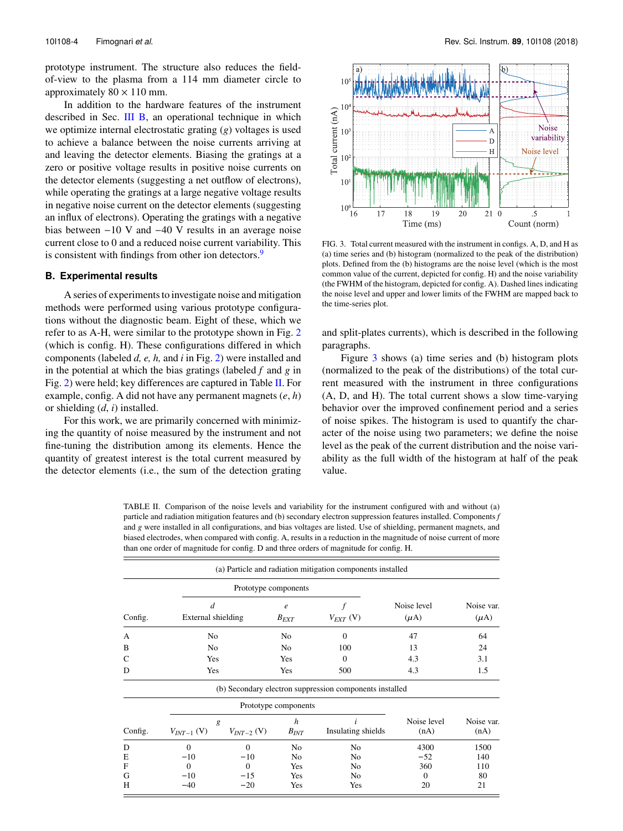prototype instrument. The structure also reduces the fieldof-view to the plasma from a 114 mm diameter circle to approximately  $80 \times 110$  mm.

In addition to the hardware features of the instrument described in Sec. [III B,](#page-2-3) an operational technique in which we optimize internal electrostatic grating (*g*) voltages is used to achieve a balance between the noise currents arriving at and leaving the detector elements. Biasing the gratings at a zero or positive voltage results in positive noise currents on the detector elements (suggesting a net outflow of electrons), while operating the gratings at a large negative voltage results in negative noise current on the detector elements (suggesting an influx of electrons). Operating the gratings with a negative bias between −10 V and −40 V results in an average noise current close to 0 and a reduced noise current variability. This is consistent with findings from other ion detectors.<sup>[9](#page-5-7)</sup>

## **B. Experimental results**

A series of experiments to investigate noise and mitigation methods were performed using various prototype configurations without the diagnostic beam. Eight of these, which we refer to as A-H, were similar to the prototype shown in Fig. [2](#page-2-2) (which is config. H). These configurations differed in which components (labeled *d, e, h,* and *i* in Fig. [2\)](#page-2-2) were installed and in the potential at which the bias gratings (labeled *f* and *g* in Fig. [2\)](#page-2-2) were held; key differences are captured in Table [II.](#page-4-0) For example, config. A did not have any permanent magnets (*e*, *h*) or shielding (*d*, *i*) installed.

For this work, we are primarily concerned with minimizing the quantity of noise measured by the instrument and not fine-tuning the distribution among its elements. Hence the quantity of greatest interest is the total current measured by the detector elements (i.e., the sum of the detection grating

<span id="page-4-1"></span>

FIG. 3. Total current measured with the instrument in configs. A, D, and H as (a) time series and (b) histogram (normalized to the peak of the distribution) plots. Defined from the (b) histograms are the noise level (which is the most common value of the current, depicted for config. H) and the noise variability (the FWHM of the histogram, depicted for config. A). Dashed lines indicating the noise level and upper and lower limits of the FWHM are mapped back to the time-series plot.

and split-plates currents), which is described in the following paragraphs.

Figure [3](#page-4-1) shows (a) time series and (b) histogram plots (normalized to the peak of the distributions) of the total current measured with the instrument in three configurations (A, D, and H). The total current shows a slow time-varying behavior over the improved confinement period and a series of noise spikes. The histogram is used to quantify the character of the noise using two parameters; we define the noise level as the peak of the current distribution and the noise variability as the full width of the histogram at half of the peak value.

<span id="page-4-0"></span>TABLE II. Comparison of the noise levels and variability for the instrument configured with and without (a) particle and radiation mitigation features and (b) secondary electron suppression features installed. Components *f* and *g* were installed in all configurations, and bias voltages are listed. Use of shielding, permanent magnets, and biased electrodes, when compared with config. A, results in a reduction in the magnitude of noise current of more than one order of magnitude for config. D and three orders of magnitude for config. H.

|         |                                      |                      |                               | than one order or magnitude for comig. D and three orders or magnitude for comig. 11. |                          |                         |
|---------|--------------------------------------|----------------------|-------------------------------|---------------------------------------------------------------------------------------|--------------------------|-------------------------|
|         |                                      |                      |                               | (a) Particle and radiation mitigation components installed                            |                          |                         |
|         | Prototype components                 |                      |                               |                                                                                       |                          |                         |
| Config. | $\overline{d}$<br>External shielding |                      | $\boldsymbol{e}$<br>$B_{EXT}$ | $V_{EXT}$ (V)                                                                         | Noise level<br>$(\mu A)$ | Noise var.<br>$(\mu A)$ |
| A       | N <sub>0</sub>                       |                      | No                            | $\Omega$                                                                              | 47                       | 64                      |
| B       | No                                   |                      | No                            | 100                                                                                   | 13                       | 24                      |
| C       | Yes                                  |                      | Yes                           | $\Omega$                                                                              | 4.3                      | 3.1                     |
| D       | Yes                                  |                      | Yes                           | 500                                                                                   | 4.3                      | 1.5                     |
|         |                                      |                      |                               | (b) Secondary electron suppression components installed                               |                          |                         |
|         |                                      | Prototype components |                               |                                                                                       |                          |                         |
| Config. | g<br>$V_{INT-1}$ (V)                 | $V_{INT-2}$ (V)      | $\boldsymbol{h}$<br>$B_{INT}$ | i<br>Insulating shields                                                               | Noise level<br>(nA)      | Noise var.<br>(nA)      |
| D       | $\Omega$                             | $\Omega$             | No                            | N <sub>0</sub>                                                                        | 4300                     | 1500                    |
| E       | $-10$                                | $-10$                | No                            | No                                                                                    | $-52$                    | 140                     |
| F       | $\Omega$                             | $\Omega$             | Yes                           | No                                                                                    | 360                      | 110                     |
| G       | $-10$                                | $-15$                | Yes                           | N <sub>0</sub>                                                                        | $\Omega$                 | 80                      |
| H       | $-40$                                | $-20$                | Yes                           | Yes                                                                                   | 20                       | 21                      |